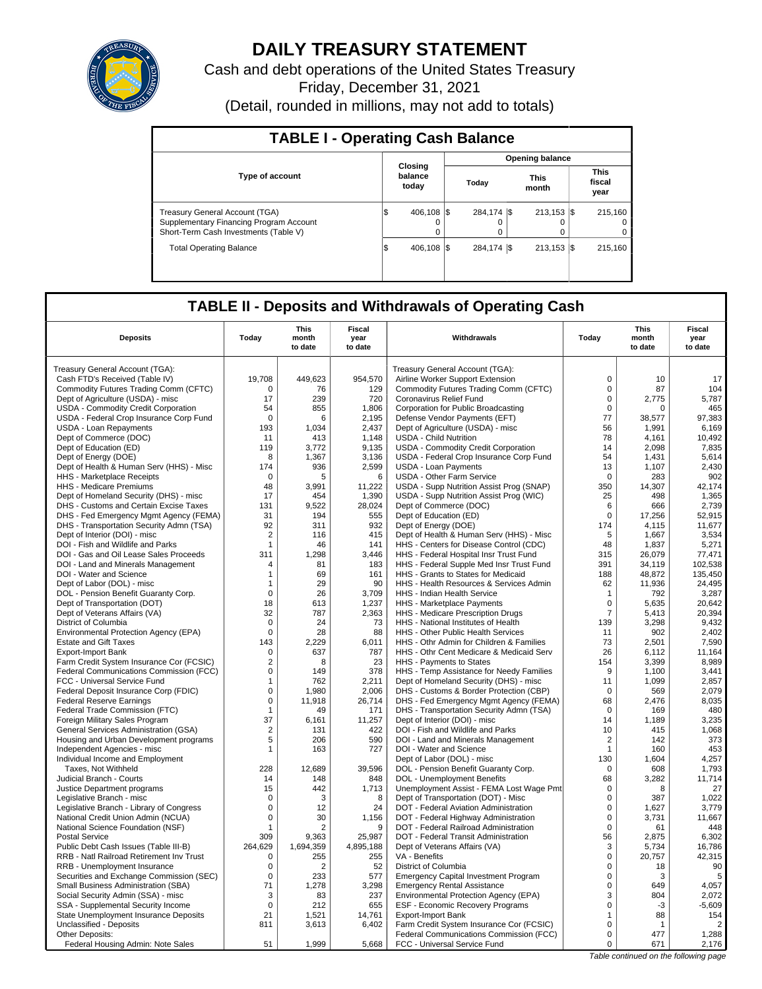

# **DAILY TREASURY STATEMENT**

Cash and debt operations of the United States Treasury Friday, December 31, 2021 (Detail, rounded in millions, may not add to totals)

| <b>TABLE I - Operating Cash Balance</b>                                                                                   |                             |                        |                        |  |                           |  |                                 |  |  |  |
|---------------------------------------------------------------------------------------------------------------------------|-----------------------------|------------------------|------------------------|--|---------------------------|--|---------------------------------|--|--|--|
|                                                                                                                           |                             | <b>Opening balance</b> |                        |  |                           |  |                                 |  |  |  |
| <b>Type of account</b>                                                                                                    | Closing<br>balance<br>today |                        | Today                  |  | <b>This</b><br>month      |  | This<br>fiscal<br>year          |  |  |  |
| <b>Treasury General Account (TGA)</b><br>Supplementary Financing Program Account<br>Short-Term Cash Investments (Table V) | 406.108 \\ \$<br>lS.<br>0   |                        | 284,174 \$<br>$\Omega$ |  | $213.153$ $\sqrt{5}$<br>0 |  | 215.160<br>$\Omega$<br>$\Omega$ |  |  |  |
| <b>Total Operating Balance</b>                                                                                            | 406.108 \\ \$<br>1\$        |                        | 284.174 \\$            |  | $213.153$ $\sqrt{5}$      |  | 215,160                         |  |  |  |

## **TABLE II - Deposits and Withdrawals of Operating Cash**

| <b>Deposits</b>                          | Today          | This<br>month<br>to date | Fiscal<br>year<br>to date | Withdrawals                                 | Today          | <b>This</b><br>month<br>to date       | Fiscal<br>year<br>to date |
|------------------------------------------|----------------|--------------------------|---------------------------|---------------------------------------------|----------------|---------------------------------------|---------------------------|
| Treasury General Account (TGA):          |                |                          |                           | Treasury General Account (TGA):             |                |                                       |                           |
| Cash FTD's Received (Table IV)           | 19,708         | 449,623                  | 954,570                   | Airline Worker Support Extension            | $\pmb{0}$      | 10                                    | 17                        |
| Commodity Futures Trading Comm (CFTC)    | 0              | 76                       | 129                       | Commodity Futures Trading Comm (CFTC)       | $\mathbf 0$    | 87                                    | 104                       |
| Dept of Agriculture (USDA) - misc        | 17             | 239                      | 720                       | Coronavirus Relief Fund                     | $\mathbf 0$    | 2.775                                 | 5.787                     |
| USDA - Commodity Credit Corporation      | 54             | 855                      | 1.806                     | Corporation for Public Broadcasting         | $\mathbf 0$    | $\Omega$                              | 465                       |
| USDA - Federal Crop Insurance Corp Fund  | $\mathbf 0$    | 6                        | 2,195                     | Defense Vendor Payments (EFT)               | 77             | 38,577                                | 97,383                    |
| USDA - Loan Repayments                   | 193            | 1.034                    | 2.437                     | Dept of Agriculture (USDA) - misc           | 56             | 1,991                                 | 6.169                     |
| Dept of Commerce (DOC)                   | 11             | 413                      | 1,148                     | <b>USDA - Child Nutrition</b>               | 78             | 4,161                                 | 10,492                    |
| Dept of Education (ED)                   | 119            | 3,772                    | 9,135                     | USDA - Commodity Credit Corporation         | 14             | 2,098                                 | 7,835                     |
| Dept of Energy (DOE)                     | 8              | 1,367                    | 3,136                     | USDA - Federal Crop Insurance Corp Fund     | 54             | 1,431                                 | 5.614                     |
| Dept of Health & Human Serv (HHS) - Misc | 174            | 936                      | 2,599                     | <b>USDA - Loan Payments</b>                 | 13             | 1,107                                 | 2,430                     |
| <b>HHS</b> - Marketplace Receipts        | 0              | 5                        | 6                         | <b>USDA - Other Farm Service</b>            | 0              | 283                                   | 902                       |
| HHS - Medicare Premiums                  | 48             | 3,991                    | 11,222                    | USDA - Supp Nutrition Assist Prog (SNAP)    | 350            | 14,307                                | 42,174                    |
| Dept of Homeland Security (DHS) - misc   | 17             | 454                      | 1,390                     | USDA - Supp Nutrition Assist Prog (WIC)     | 25             | 498                                   | 1,365                     |
| DHS - Customs and Certain Excise Taxes   | 131            | 9,522                    | 28,024                    | Dept of Commerce (DOC)                      | 6              | 666                                   | 2,739                     |
| DHS - Fed Emergency Mgmt Agency (FEMA)   | 31             | 194                      | 555                       | Dept of Education (ED)                      | $\Omega$       | 17,256                                | 52,915                    |
| DHS - Transportation Security Admn (TSA) | 92             | 311                      | 932                       | Dept of Energy (DOE)                        | 174            | 4,115                                 | 11,677                    |
| Dept of Interior (DOI) - misc            | $\overline{2}$ | 116                      | 415                       | Dept of Health & Human Serv (HHS) - Misc    | 5              | 1,667                                 | 3,534                     |
| DOI - Fish and Wildlife and Parks        | 1              | 46                       | 141                       | HHS - Centers for Disease Control (CDC)     | 48             | 1,837                                 | 5,271                     |
| DOI - Gas and Oil Lease Sales Proceeds   | 311            | 1.298                    | 3.446                     | HHS - Federal Hospital Insr Trust Fund      | 315            | 26.079                                | 77.471                    |
| DOI - Land and Minerals Management       | 4              | 81                       | 183                       | HHS - Federal Supple Med Insr Trust Fund    | 391            | 34,119                                | 102,538                   |
| DOI - Water and Science                  | 1              | 69                       | 161                       | HHS - Grants to States for Medicaid         | 188            | 48,872                                | 135,450                   |
| Dept of Labor (DOL) - misc               | 1              | 29                       | 90                        | HHS - Health Resources & Services Admin     | 62             | 11,936                                | 24,495                    |
| DOL - Pension Benefit Guaranty Corp.     | $\mathbf 0$    | 26                       | 3.709                     | <b>HHS - Indian Health Service</b>          | $\mathbf{1}$   | 792                                   | 3,287                     |
| Dept of Transportation (DOT)             | 18             | 613                      | 1,237                     | HHS - Marketplace Payments                  | $\mathbf 0$    | 5,635                                 | 20,642                    |
| Dept of Veterans Affairs (VA)            | 32             | 787                      | 2,363                     | HHS - Medicare Prescription Drugs           | $\overline{7}$ | 5.413                                 | 20.394                    |
| District of Columbia                     | $\mathbf 0$    | 24                       | 73                        | HHS - National Institutes of Health         | 139            | 3,298                                 | 9,432                     |
| Environmental Protection Agency (EPA)    | 0              | 28                       | 88                        | HHS - Other Public Health Services          | 11             | 902                                   | 2,402                     |
| <b>Estate and Gift Taxes</b>             | 143            | 2,229                    | 6,011                     | HHS - Othr Admin for Children & Families    | 73             | 2,501                                 | 7,590                     |
| <b>Export-Import Bank</b>                | $\Omega$       | 637                      | 787                       | HHS - Othr Cent Medicare & Medicaid Serv    | 26             | 6,112                                 | 11.164                    |
| Farm Credit System Insurance Cor (FCSIC) | $\overline{2}$ | 8                        | 23                        | HHS - Payments to States                    | 154            | 3,399                                 | 8,989                     |
| Federal Communications Commission (FCC)  | 0              | 149                      | 378                       | HHS - Temp Assistance for Needy Families    | 9              | 1,100                                 | 3,441                     |
| FCC - Universal Service Fund             | 1              | 762                      | 2,211                     | Dept of Homeland Security (DHS) - misc      | 11             | 1,099                                 | 2.857                     |
| Federal Deposit Insurance Corp (FDIC)    | $\mathbf 0$    | 1,980                    | 2,006                     | DHS - Customs & Border Protection (CBP)     | $\Omega$       | 569                                   | 2,079                     |
| <b>Federal Reserve Earnings</b>          | 0              | 11,918                   | 26,714                    | DHS - Fed Emergency Mgmt Agency (FEMA)      | 68             | 2,476                                 | 8,035                     |
| Federal Trade Commission (FTC)           | 1              | 49                       | 171                       | DHS - Transportation Security Admn (TSA)    | $\mathbf 0$    | 169                                   | 480                       |
| Foreign Military Sales Program           | 37             | 6.161                    | 11,257                    | Dept of Interior (DOI) - misc               | 14             | 1,189                                 | 3,235                     |
| General Services Administration (GSA)    | $\overline{2}$ | 131                      | 422                       | DOI - Fish and Wildlife and Parks           | 10             | 415                                   | 1,068                     |
| Housing and Urban Development programs   | 5              | 206                      | 590                       | DOI - Land and Minerals Management          | 2              | 142                                   | 373                       |
| Independent Agencies - misc              | 1              | 163                      | 727                       | DOI - Water and Science                     | $\mathbf{1}$   | 160                                   | 453                       |
| Individual Income and Employment         |                |                          |                           | Dept of Labor (DOL) - misc                  | 130            | 1,604                                 | 4,257                     |
| Taxes, Not Withheld                      | 228            | 12.689                   | 39,596                    | DOL - Pension Benefit Guaranty Corp.        | $\Omega$       | 608                                   | 1.793                     |
| Judicial Branch - Courts                 | 14             | 148                      | 848                       | DOL - Unemployment Benefits                 | 68             | 3,282                                 | 11,714                    |
| Justice Department programs              | 15             | 442                      | 1,713                     | Unemployment Assist - FEMA Lost Wage Pmt    | $\mathbf 0$    | 8                                     | 27                        |
| Legislative Branch - misc                | $\Omega$       | 3                        | 8                         | Dept of Transportation (DOT) - Misc         | $\Omega$       | 387                                   | 1.022                     |
| Legislative Branch - Library of Congress | 0              | 12                       | 24                        | DOT - Federal Aviation Administration       | $\mathbf 0$    | 1,627                                 | 3,779                     |
| National Credit Union Admin (NCUA)       | 0              | 30                       | 1,156                     | DOT - Federal Highway Administration        | $\mathbf 0$    | 3,731                                 | 11,667                    |
| National Science Foundation (NSF)        | 1              | 2                        | 9                         | DOT - Federal Railroad Administration       | $\Omega$       | 61                                    | 448                       |
| <b>Postal Service</b>                    | 309            | 9,363                    | 25,987                    | DOT - Federal Transit Administration        | 56             | 2,875                                 | 6,302                     |
| Public Debt Cash Issues (Table III-B)    | 264,629        | 1,694,359                | 4,895,188                 | Dept of Veterans Affairs (VA)               | 3              | 5,734                                 | 16,786                    |
| RRB - Natl Railroad Retirement Inv Trust | 0              | 255                      | 255                       | VA - Benefits                               | 0              | 20,757                                | 42,315                    |
| RRB - Unemployment Insurance             | 0              | 2                        | 52                        | District of Columbia                        | 0              | 18                                    | 90                        |
| Securities and Exchange Commission (SEC) | $\mathbf 0$    | 233                      | 577                       | <b>Emergency Capital Investment Program</b> | $\mathbf 0$    | 3                                     | 5                         |
| Small Business Administration (SBA)      | 71             | 1,278                    | 3,298                     | <b>Emergency Rental Assistance</b>          | $\mathbf 0$    | 649                                   | 4,057                     |
| Social Security Admin (SSA) - misc       | 3              | 83                       | 237                       | Environmental Protection Agency (EPA)       | 3              | 804                                   | 2,072                     |
| SSA - Supplemental Security Income       | $\mathbf 0$    | 212                      | 655                       | <b>ESF - Economic Recovery Programs</b>     | $\mathbf 0$    | $-3$                                  | $-5,609$                  |
| State Unemployment Insurance Deposits    | 21             | 1,521                    | 14,761                    | <b>Export-Import Bank</b>                   | 1              | 88                                    | 154                       |
| Unclassified - Deposits                  | 811            | 3,613                    | 6,402                     | Farm Credit System Insurance Cor (FCSIC)    | $\Omega$       | $\overline{1}$                        | 2                         |
| Other Deposits:                          |                |                          |                           | Federal Communications Commission (FCC)     | $\mathbf 0$    | 477                                   | 1,288                     |
| Federal Housing Admin: Note Sales        | 51             | 1.999                    | 5,668                     | FCC - Universal Service Fund                | $\Omega$       | 671                                   | 2,176                     |
|                                          |                |                          |                           |                                             |                | Table continued on the following page |                           |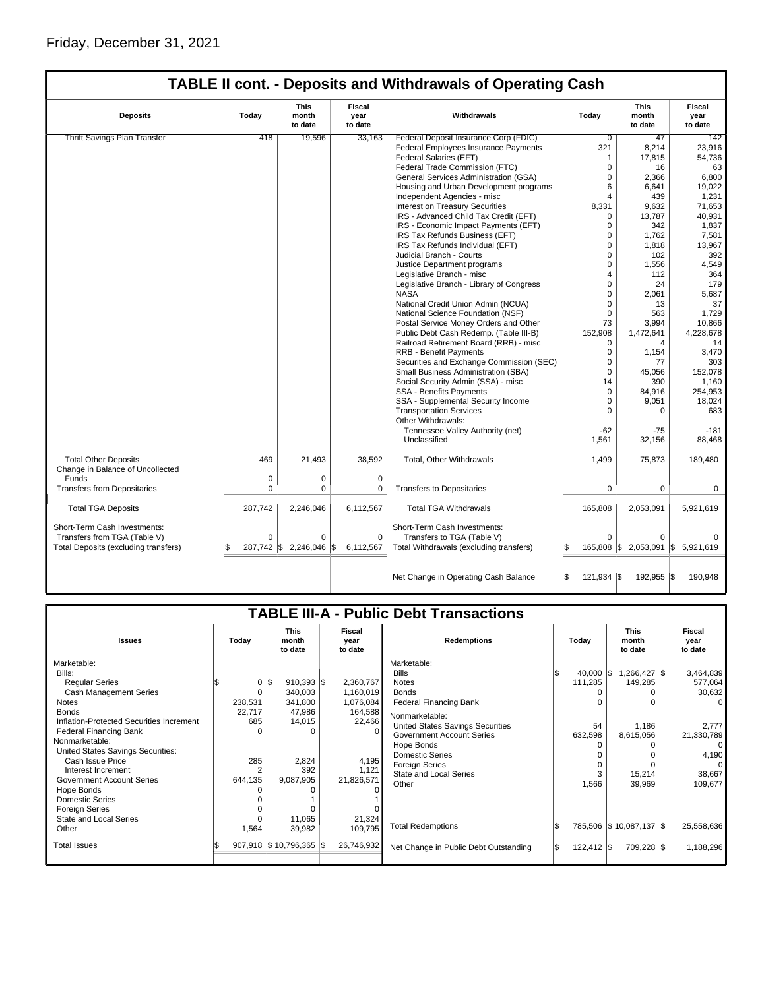|                                      |          |                                 |                           | <b>TABLE II cont. - Deposits and Withdrawals of Operating Cash</b> |                   |                                 |                                  |
|--------------------------------------|----------|---------------------------------|---------------------------|--------------------------------------------------------------------|-------------------|---------------------------------|----------------------------------|
| <b>Deposits</b>                      | Today    | <b>This</b><br>month<br>to date | Fiscal<br>year<br>to date | Withdrawals                                                        | Todav             | <b>This</b><br>month<br>to date | <b>Fiscal</b><br>year<br>to date |
| <b>Thrift Savings Plan Transfer</b>  | 418      | 19.596                          | 33.163                    | Federal Deposit Insurance Corp (FDIC)                              | $\overline{0}$    | 47                              | 142                              |
|                                      |          |                                 |                           | Federal Employees Insurance Payments                               | 321               | 8,214                           | 23,916                           |
|                                      |          |                                 |                           | Federal Salaries (EFT)                                             | 1                 | 17,815                          | 54,736                           |
|                                      |          |                                 |                           | Federal Trade Commission (FTC)                                     | $\Omega$          | 16                              | 63                               |
|                                      |          |                                 |                           | General Services Administration (GSA)                              | $\Omega$          | 2,366                           | 6,800                            |
|                                      |          |                                 |                           | Housing and Urban Development programs                             | 6                 | 6,641                           | 19,022                           |
|                                      |          |                                 |                           | Independent Agencies - misc                                        | $\overline{4}$    | 439                             | 1,231                            |
|                                      |          |                                 |                           | <b>Interest on Treasury Securities</b>                             | 8,331             | 9.632                           | 71,653                           |
|                                      |          |                                 |                           | IRS - Advanced Child Tax Credit (EFT)                              | $\Omega$          | 13,787                          | 40,931                           |
|                                      |          |                                 |                           | IRS - Economic Impact Payments (EFT)                               | $\Omega$          | 342                             | 1,837                            |
|                                      |          |                                 |                           | IRS Tax Refunds Business (EFT)                                     | $\Omega$          | 1,762                           | 7,581                            |
|                                      |          |                                 |                           | IRS Tax Refunds Individual (EFT)                                   | $\mathbf 0$       | 1,818                           | 13,967                           |
|                                      |          |                                 |                           | Judicial Branch - Courts                                           | $\Omega$          | 102                             | 392                              |
|                                      |          |                                 |                           | Justice Department programs                                        | $\Omega$          | 1,556                           | 4,549                            |
|                                      |          |                                 |                           | Legislative Branch - misc                                          | 4                 | 112                             | 364                              |
|                                      |          |                                 |                           | Legislative Branch - Library of Congress                           | $\Omega$          | 24                              | 179                              |
|                                      |          |                                 |                           | <b>NASA</b>                                                        | $\Omega$          | 2,061                           | 5,687                            |
|                                      |          |                                 |                           | National Credit Union Admin (NCUA)                                 | $\Omega$          | 13                              | 37                               |
|                                      |          |                                 |                           | National Science Foundation (NSF)                                  | $\Omega$          | 563                             | 1,729                            |
|                                      |          |                                 |                           | Postal Service Money Orders and Other                              | 73                | 3,994                           | 10,866                           |
|                                      |          |                                 |                           | Public Debt Cash Redemp. (Table III-B)                             | 152,908           | 1,472,641                       | 4,228,678                        |
|                                      |          |                                 |                           | Railroad Retirement Board (RRB) - misc                             | $\Omega$          | 4                               | 14                               |
|                                      |          |                                 |                           | <b>RRB - Benefit Payments</b>                                      | $\mathbf 0$       | 1,154                           | 3,470                            |
|                                      |          |                                 |                           | Securities and Exchange Commission (SEC)                           | $\Omega$          | 77                              | 303                              |
|                                      |          |                                 |                           | Small Business Administration (SBA)                                | 0                 | 45.056                          | 152.078                          |
|                                      |          |                                 |                           | Social Security Admin (SSA) - misc                                 | 14                | 390                             | 1,160                            |
|                                      |          |                                 |                           | SSA - Benefits Payments                                            | $\Omega$          | 84,916                          | 254,953                          |
|                                      |          |                                 |                           | SSA - Supplemental Security Income                                 | $\Omega$          | 9.051                           | 18.024                           |
|                                      |          |                                 |                           | <b>Transportation Services</b>                                     | $\Omega$          | 0                               | 683                              |
|                                      |          |                                 |                           | Other Withdrawals:                                                 |                   |                                 |                                  |
|                                      |          |                                 |                           | Tennessee Valley Authority (net)                                   | $-62$             | $-75$                           | $-181$                           |
|                                      |          |                                 |                           | Unclassified                                                       | 1,561             | 32,156                          | 88,468                           |
|                                      |          |                                 |                           |                                                                    |                   |                                 |                                  |
| <b>Total Other Deposits</b>          | 469      | 21,493                          | 38,592                    | Total, Other Withdrawals                                           | 1,499             | 75,873                          | 189,480                          |
| Change in Balance of Uncollected     |          |                                 |                           |                                                                    |                   |                                 |                                  |
| Funds                                | 0        | 0                               | $\mathbf 0$               |                                                                    |                   |                                 |                                  |
| <b>Transfers from Depositaries</b>   | $\Omega$ | 0                               | 0                         | <b>Transfers to Depositaries</b>                                   | $\mathbf 0$       | 0                               | 0                                |
|                                      |          |                                 |                           |                                                                    |                   |                                 |                                  |
| <b>Total TGA Deposits</b>            | 287,742  | 2,246,046                       | 6,112,567                 | <b>Total TGA Withdrawals</b>                                       | 165,808           | 2,053,091                       | 5,921,619                        |
|                                      |          |                                 |                           |                                                                    |                   |                                 |                                  |
| Short-Term Cash Investments:         |          |                                 |                           | Short-Term Cash Investments:                                       |                   |                                 |                                  |
| Transfers from TGA (Table V)         | 0        | 0                               | $\mathbf 0$               | Transfers to TGA (Table V)                                         | 0                 | 0                               |                                  |
| Total Deposits (excluding transfers) | ß.       | 287,742 \$ 2,246,046 \$         | 6,112,567                 | Total Withdrawals (excluding transfers)                            | \$                | 165,808 \$2,053,091 \$5,921,619 |                                  |
|                                      |          |                                 |                           |                                                                    |                   |                                 |                                  |
|                                      |          |                                 |                           |                                                                    |                   |                                 |                                  |
|                                      |          |                                 |                           | Net Change in Operating Cash Balance                               | ß.<br>121.934 \\$ | 192,955 \$                      | 190.948                          |
|                                      |          |                                 |                           |                                                                    |                   |                                 |                                  |

| <b>TABLE III-A - Public Debt Transactions</b> |  |         |                         |                                 |                           |            |                                       |  |                                          |                         |                           |            |
|-----------------------------------------------|--|---------|-------------------------|---------------------------------|---------------------------|------------|---------------------------------------|--|------------------------------------------|-------------------------|---------------------------|------------|
| <b>Issues</b>                                 |  | Today   |                         | <b>This</b><br>month<br>to date | Fiscal<br>year<br>to date |            | <b>Redemptions</b>                    |  | <b>This</b><br>Today<br>month<br>to date |                         | Fiscal<br>year<br>to date |            |
| Marketable:                                   |  |         |                         |                                 |                           |            | Marketable:                           |  |                                          |                         |                           |            |
| Bills:                                        |  |         |                         |                                 |                           |            | <b>Bills</b>                          |  | $40,000$ $\sqrt{\$}$                     | 1,266,427 \$            |                           | 3,464,839  |
| <b>Regular Series</b>                         |  |         | $0 \text{ }   \text{s}$ | $910,393$ \$                    |                           | 2,360,767  | <b>Notes</b>                          |  | 111,285                                  | 149,285                 |                           | 577,064    |
| <b>Cash Management Series</b>                 |  | 0       |                         | 340,003                         |                           | 1,160,019  | <b>Bonds</b>                          |  |                                          |                         |                           | 30,632     |
| Notes                                         |  | 238,531 |                         | 341,800                         |                           | 1,076,084  | <b>Federal Financing Bank</b>         |  | 0                                        |                         |                           | $\Omega$   |
| <b>Bonds</b>                                  |  | 22.717  |                         | 47,986                          |                           | 164,588    | Nonmarketable:                        |  |                                          |                         |                           |            |
| Inflation-Protected Securities Increment      |  | 685     |                         | 14,015                          |                           | 22,466     | United States Savings Securities      |  | 54                                       | 1,186                   |                           | 2.777      |
| Federal Financing Bank                        |  |         |                         |                                 |                           |            | Government Account Series             |  | 632,598                                  | 8,615,056               |                           | 21,330,789 |
| Nonmarketable:                                |  |         |                         |                                 |                           |            | Hope Bonds                            |  |                                          |                         |                           | $\Omega$   |
| United States Savings Securities:             |  |         |                         |                                 |                           |            | <b>Domestic Series</b>                |  |                                          |                         |                           | 4,190      |
| Cash Issue Price                              |  | 285     |                         | 2,824                           |                           | 4,195      | <b>Foreign Series</b>                 |  |                                          |                         |                           | $\Omega$   |
| Interest Increment                            |  |         |                         | 392                             |                           | 1,121      | <b>State and Local Series</b>         |  |                                          | 15,214                  |                           | 38,667     |
| Government Account Series                     |  | 644,135 |                         | 9,087,905                       |                           | 21,826,571 | Other                                 |  | 1,566                                    | 39,969                  |                           | 109,677    |
| Hope Bonds                                    |  |         |                         |                                 |                           |            |                                       |  |                                          |                         |                           |            |
| Domestic Series                               |  |         |                         |                                 |                           |            |                                       |  |                                          |                         |                           |            |
| <b>Foreign Series</b>                         |  |         |                         |                                 |                           |            |                                       |  |                                          |                         |                           |            |
| State and Local Series                        |  |         |                         | 11,065                          |                           | 21,324     |                                       |  |                                          |                         |                           |            |
| Other                                         |  | 1,564   |                         | 39,982                          |                           | 109,795    | <b>Total Redemptions</b>              |  |                                          | 785,506 \$10,087,137 \$ |                           | 25,558,636 |
| <b>Total Issues</b>                           |  |         |                         | 907,918 \$10,796,365 \$         |                           | 26.746.932 | Net Change in Public Debt Outstanding |  | $122,412$ $\sqrt{5}$                     | 709,228 \$              |                           | 1,188,296  |
|                                               |  |         |                         |                                 |                           |            |                                       |  |                                          |                         |                           |            |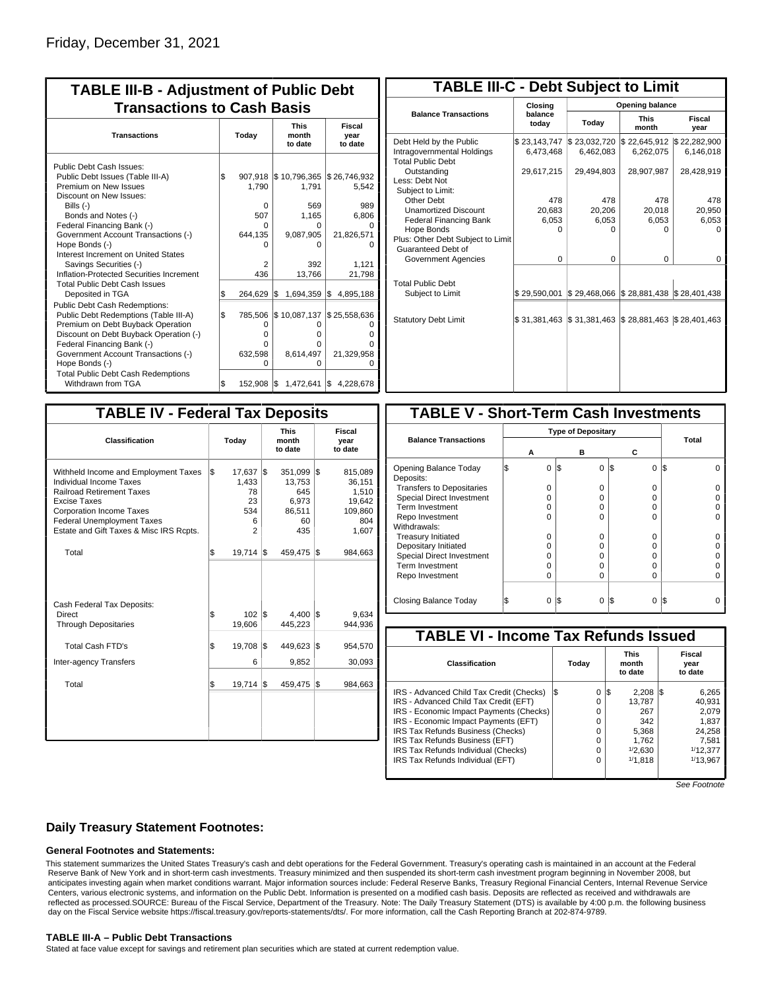| <b>TABLE III-B - Adjustment of Public Debt</b><br><b>Transactions to Cash Basis</b>                                                                                                                                                                                                                           |           |                                                   |                                                                   |                                                                    |  |  |  |  |                                 |                           |
|---------------------------------------------------------------------------------------------------------------------------------------------------------------------------------------------------------------------------------------------------------------------------------------------------------------|-----------|---------------------------------------------------|-------------------------------------------------------------------|--------------------------------------------------------------------|--|--|--|--|---------------------------------|---------------------------|
| <b>Transactions</b>                                                                                                                                                                                                                                                                                           | Today     |                                                   |                                                                   |                                                                    |  |  |  |  | <b>This</b><br>month<br>to date | Fiscal<br>year<br>to date |
| Public Debt Cash Issues:<br>Public Debt Issues (Table III-A)<br>Premium on New Issues<br>Discount on New Issues:<br>Bills (-)<br>Bonds and Notes (-)<br>Federal Financing Bank (-)<br>Government Account Transactions (-)<br>Hope Bonds (-)<br>Interest Increment on United States                            | l\$       | 907.918<br>1.790<br>0<br>507<br>U<br>644,135<br>n | \$10,796,365<br>1.791<br>569<br>1,165<br>0<br>9,087,905<br>n      | \$26,746,932<br>5,542<br>989<br>6,806<br>21,826,571                |  |  |  |  |                                 |                           |
| Savings Securities (-)<br>Inflation-Protected Securities Increment<br><b>Total Public Debt Cash Issues</b>                                                                                                                                                                                                    |           | 2<br>436                                          | 392<br>13.766                                                     | 1,121<br>21,798                                                    |  |  |  |  |                                 |                           |
| Deposited in TGA<br>Public Debt Cash Redemptions:<br>Public Debt Redemptions (Table III-A)<br>Premium on Debt Buyback Operation<br>Discount on Debt Buyback Operation (-)<br>Federal Financing Bank (-)<br>Government Account Transactions (-)<br>Hope Bonds (-)<br><b>Total Public Debt Cash Redemptions</b> | \$<br>l\$ | 264,629<br>785,506<br>0<br>O<br>O<br>632,598<br>O | 1,694,359<br>1\$<br>\$10,087,137<br>0<br>o<br>0<br>8,614,497<br>0 | 4,895,188<br>Ι\$<br>\$25,558,636<br>0<br>ი<br>U<br>21,329,958<br>O |  |  |  |  |                                 |                           |
| Withdrawn from TGA                                                                                                                                                                                                                                                                                            | \$        | 152.908                                           | 1\$                                                               | 1,472,641   \$4,228,678                                            |  |  |  |  |                                 |                           |

| <b>TABLE III-C - Debt Subject to Limit</b>                                        |                           |                           |                           |                           |  |  |  |  |  |  |
|-----------------------------------------------------------------------------------|---------------------------|---------------------------|---------------------------|---------------------------|--|--|--|--|--|--|
|                                                                                   | Closing                   | Opening balance           |                           |                           |  |  |  |  |  |  |
| <b>Balance Transactions</b>                                                       | balance<br>Today<br>today |                           | <b>This</b><br>month      | Fiscal<br>year            |  |  |  |  |  |  |
| Debt Held by the Public<br>Intragovernmental Holdings<br><b>Total Public Debt</b> | \$23,143,747<br>6,473,468 | \$23,032,720<br>6,462,083 | \$22,645,912<br>6,262,075 | \$22,282,900<br>6,146,018 |  |  |  |  |  |  |
| Outstanding<br>Less: Debt Not<br>Subject to Limit:                                | 29,617,215                | 29,494,803                | 28,907,987                | 28,428,919                |  |  |  |  |  |  |
| Other Debt                                                                        | 478                       | 478                       | 478                       | 478                       |  |  |  |  |  |  |
| <b>Unamortized Discount</b>                                                       | 20.683                    | 20.206                    | 20,018                    | 20,950                    |  |  |  |  |  |  |
| <b>Federal Financing Bank</b>                                                     | 6,053                     | 6,053                     | 6,053                     | 6,053                     |  |  |  |  |  |  |
| Hope Bonds                                                                        | O                         | O                         | n                         | O                         |  |  |  |  |  |  |
| Plus: Other Debt Subject to Limit<br>Guaranteed Debt of                           |                           |                           |                           |                           |  |  |  |  |  |  |
| Government Agencies                                                               | $\Omega$                  | $\Omega$                  | $\Omega$                  | 0                         |  |  |  |  |  |  |
| <b>Total Public Debt</b><br>Subject to Limit                                      | \$29.590.001              | \$29,468,066              | \$28,881,438              | \$28,401,438              |  |  |  |  |  |  |
|                                                                                   |                           |                           |                           |                           |  |  |  |  |  |  |
| <b>Statutory Debt Limit</b>                                                       | \$31,381,463              | \$31,381,463              | \$28,881,463              | \$28,401,463              |  |  |  |  |  |  |
|                                                                                   |                           |                           |                           |                           |  |  |  |  |  |  |

| <b>TABLE IV - Federal Tax Deposits</b>                                                                                                                                                                                                        |     |                                              |     |                                                          |     |                                                                 |  |  |  |
|-----------------------------------------------------------------------------------------------------------------------------------------------------------------------------------------------------------------------------------------------|-----|----------------------------------------------|-----|----------------------------------------------------------|-----|-----------------------------------------------------------------|--|--|--|
| <b>Classification</b>                                                                                                                                                                                                                         |     | Today                                        |     | <b>This</b><br>month<br>to date                          |     | Fiscal<br>year<br>to date                                       |  |  |  |
| Withheld Income and Employment Taxes<br>Individual Income Taxes<br><b>Railroad Retirement Taxes</b><br><b>Excise Taxes</b><br><b>Corporation Income Taxes</b><br><b>Federal Unemployment Taxes</b><br>Estate and Gift Taxes & Misc IRS Rcpts. | l\$ | 17,637<br>1,433<br>78<br>23<br>534<br>6<br>2 | l\$ | 351,099<br>13,753<br>645<br>6.973<br>86,511<br>60<br>435 | l\$ | 815,089<br>36,151<br>1,510<br>19,642<br>109,860<br>804<br>1,607 |  |  |  |
| Total                                                                                                                                                                                                                                         | l\$ | 19,714                                       | 1\$ | 459,475                                                  | l\$ | 984,663                                                         |  |  |  |
| Cash Federal Tax Deposits:<br>Direct<br><b>Through Depositaries</b>                                                                                                                                                                           | \$  | 102   \$<br>19,606                           |     | 4.400<br>445,223                                         | l\$ | 9,634<br>944.936                                                |  |  |  |
| <b>Total Cash FTD's</b>                                                                                                                                                                                                                       | Ŝ.  | 19,708                                       | l\$ | 449,623                                                  | l\$ | 954,570                                                         |  |  |  |
| <b>Inter-agency Transfers</b>                                                                                                                                                                                                                 |     | 6                                            |     | 9,852                                                    |     | 30,093                                                          |  |  |  |
| Total                                                                                                                                                                                                                                         | l\$ | 19,714   \$                                  |     | 459,475                                                  | l\$ | 984,663                                                         |  |  |  |
|                                                                                                                                                                                                                                               |     |                                              |     |                                                          |     |                                                                 |  |  |  |

| <b>TABLE V - Short-Term Cash Investments</b> |   |                           |                 |          |  |  |  |  |  |
|----------------------------------------------|---|---------------------------|-----------------|----------|--|--|--|--|--|
|                                              |   | <b>Type of Depositary</b> |                 |          |  |  |  |  |  |
| <b>Balance Transactions</b>                  | А | в                         | С               | Total    |  |  |  |  |  |
| Opening Balance Today<br>Deposits:           | 0 | 1\$<br>0                  | I\$<br>0        | I\$<br>0 |  |  |  |  |  |
| <b>Transfers to Depositaries</b>             | O | O                         | $\Omega$        | $\Omega$ |  |  |  |  |  |
| Special Direct Investment                    | O | O                         | Ω               |          |  |  |  |  |  |
| Term Investment                              | O | O                         | Ω               |          |  |  |  |  |  |
| Repo Investment                              | O | O                         | O               | 0        |  |  |  |  |  |
| Withdrawals:                                 |   |                           |                 |          |  |  |  |  |  |
| <b>Treasury Initiated</b>                    | O | 0                         | 0               | U        |  |  |  |  |  |
| Depositary Initiated                         | O | O                         | Ω               | ŋ        |  |  |  |  |  |
| <b>Special Direct Investment</b>             | O | O                         | Ω               |          |  |  |  |  |  |
| <b>Term Investment</b>                       | n | Ω                         | Ω               |          |  |  |  |  |  |
| Repo Investment                              | O | Ω                         | Ω               | O        |  |  |  |  |  |
|                                              |   |                           |                 |          |  |  |  |  |  |
| Closing Balance Today                        | 0 | 1\$<br>$\Omega$           | 1\$<br>$\Omega$ | 1\$      |  |  |  |  |  |

| <b>TABLE VI - Income Tax Refunds Issued</b>                                       |    |        |                                 |                 |     |                           |  |  |  |  |
|-----------------------------------------------------------------------------------|----|--------|---------------------------------|-----------------|-----|---------------------------|--|--|--|--|
| <b>Classification</b>                                                             |    | Today  | <b>This</b><br>month<br>to date |                 |     | Fiscal<br>year<br>to date |  |  |  |  |
| IRS - Advanced Child Tax Credit (Checks)<br>IRS - Advanced Child Tax Credit (EFT) | 13 | 0<br>0 | l\$                             | 2,208<br>13.787 | IS. | 6,265<br>40,931           |  |  |  |  |
| IRS - Economic Impact Payments (Checks)                                           |    | 0      |                                 | 267             |     | 2.079                     |  |  |  |  |
| IRS - Economic Impact Payments (EFT)                                              |    | 0      |                                 | 342             |     | 1,837                     |  |  |  |  |
| IRS Tax Refunds Business (Checks)<br>IRS Tax Refunds Business (EFT)               |    | 0<br>0 |                                 | 5,368<br>1,762  |     | 24,258<br>7,581           |  |  |  |  |
| IRS Tax Refunds Individual (Checks)                                               |    | 0      |                                 | 1/2.630         |     | 1/12.377                  |  |  |  |  |
| IRS Tax Refunds Individual (EFT)                                                  |    | 0      |                                 | 1/1.818         |     | 1/13,967                  |  |  |  |  |

See Footnote

## **Daily Treasury Statement Footnotes:**

#### **General Footnotes and Statements:**

This statement summarizes the United States Treasury's cash and debt operations for the Federal Government. Treasury's operating cash is maintained in an account at the Federal Reserve Bank of New York and in short-term cash investments. Treasury minimized and then suspended its short-term cash investment program beginning in November 2008, but anticipates investing again when market conditions warrant. Major information sources include: Federal Reserve Banks, Treasury Regional Financial Centers, Internal Revenue Service Centers, various electronic systems, and information on the Public Debt. Information is presented on a modified cash basis. Deposits are reflected as received and withdrawals are reflected as processed.SOURCE: Bureau of the Fiscal Service, Department of the Treasury. Note: The Daily Treasury Statement (DTS) is available by 4:00 p.m. the following business day on the Fiscal Service website https://fiscal.treasury.gov/reports-statements/dts/. For more information, call the Cash Reporting Branch at 202-874-9789.

### **TABLE III-A – Public Debt Transactions**

Stated at face value except for savings and retirement plan securities which are stated at current redemption value.